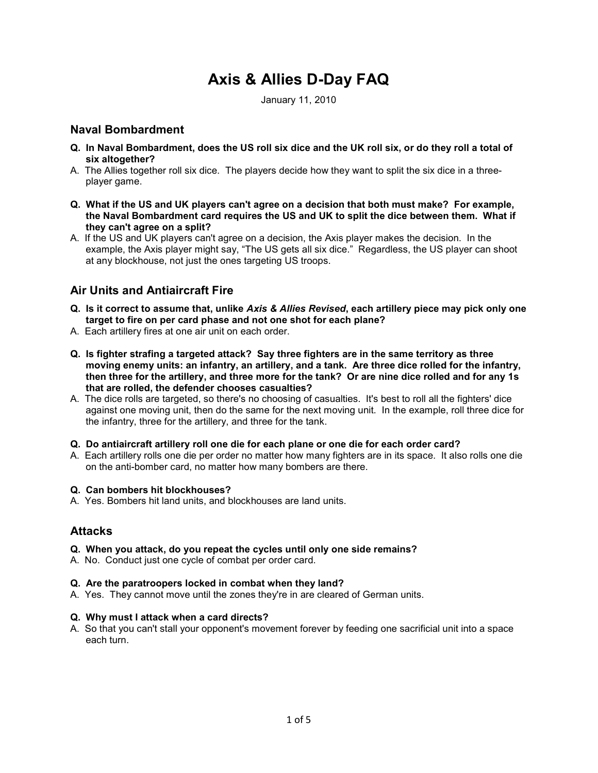# Axis & Allies D-Day FAQ

January 11, 2010

## Naval Bombardment

- Q. In Naval Bombardment, does the US roll six dice and the UK roll six, or do they roll a total of six altogether?
- A. The Allies together roll six dice. The players decide how they want to split the six dice in a threeplayer game.
- Q. What if the US and UK players can't agree on a decision that both must make? For example, the Naval Bombardment card requires the US and UK to split the dice between them. What if they can't agree on a split?
- A. If the US and UK players can't agree on a decision, the Axis player makes the decision. In the example, the Axis player might say, "The US gets all six dice." Regardless, the US player can shoot at any blockhouse, not just the ones targeting US troops.

# Air Units and Antiaircraft Fire

- Q. Is it correct to assume that, unlike Axis & Allies Revised, each artillery piece may pick only one target to fire on per card phase and not one shot for each plane?
- A. Each artillery fires at one air unit on each order.
- Q. Is fighter strafing a targeted attack? Say three fighters are in the same territory as three moving enemy units: an infantry, an artillery, and a tank. Are three dice rolled for the infantry, then three for the artillery, and three more for the tank? Or are nine dice rolled and for any 1s that are rolled, the defender chooses casualties?
- A. The dice rolls are targeted, so there's no choosing of casualties. It's best to roll all the fighters' dice against one moving unit, then do the same for the next moving unit. In the example, roll three dice for the infantry, three for the artillery, and three for the tank.

#### Q. Do antiaircraft artillery roll one die for each plane or one die for each order card?

A. Each artillery rolls one die per order no matter how many fighters are in its space. It also rolls one die on the anti-bomber card, no matter how many bombers are there.

## Q. Can bombers hit blockhouses?

A. Yes. Bombers hit land units, and blockhouses are land units.

# Attacks

- Q. When you attack, do you repeat the cycles until only one side remains?
- A. No. Conduct just one cycle of combat per order card.

#### Q. Are the paratroopers locked in combat when they land?

A. Yes. They cannot move until the zones they're in are cleared of German units.

#### Q. Why must I attack when a card directs?

A. So that you can't stall your opponent's movement forever by feeding one sacrificial unit into a space each turn.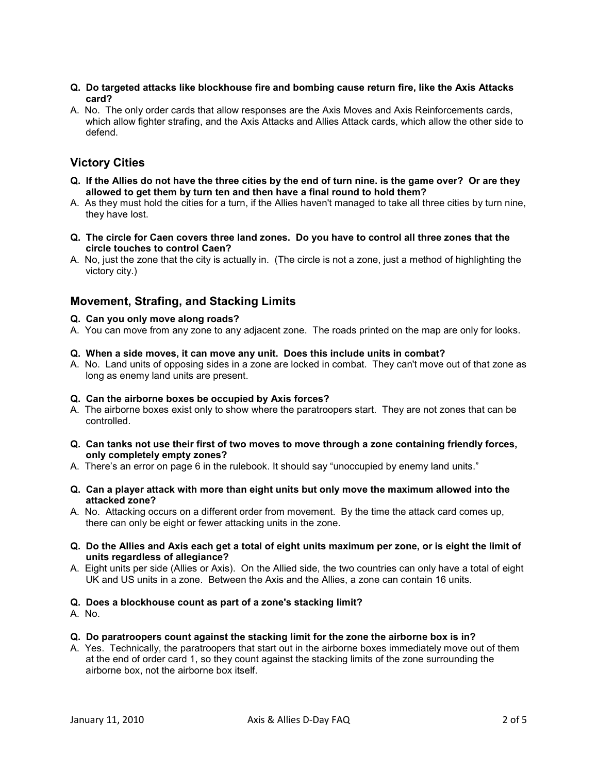- Q. Do targeted attacks like blockhouse fire and bombing cause return fire, like the Axis Attacks card?
- A. No. The only order cards that allow responses are the Axis Moves and Axis Reinforcements cards, which allow fighter strafing, and the Axis Attacks and Allies Attack cards, which allow the other side to defend.

# Victory Cities

- Q. If the Allies do not have the three cities by the end of turn nine. is the game over? Or are they allowed to get them by turn ten and then have a final round to hold them?
- A. As they must hold the cities for a turn, if the Allies haven't managed to take all three cities by turn nine, they have lost.
- Q. The circle for Caen covers three land zones. Do you have to control all three zones that the circle touches to control Caen?
- A. No, just the zone that the city is actually in. (The circle is not a zone, just a method of highlighting the victory city.)

# Movement, Strafing, and Stacking Limits

- Q. Can you only move along roads?
- A. You can move from any zone to any adjacent zone. The roads printed on the map are only for looks.
- Q. When a side moves, it can move any unit. Does this include units in combat?
- A. No. Land units of opposing sides in a zone are locked in combat. They can't move out of that zone as long as enemy land units are present.

## Q. Can the airborne boxes be occupied by Axis forces?

- A. The airborne boxes exist only to show where the paratroopers start. They are not zones that can be controlled.
- Q. Can tanks not use their first of two moves to move through a zone containing friendly forces, only completely empty zones?
- A. There's an error on page 6 in the rulebook. It should say "unoccupied by enemy land units."
- Q. Can a player attack with more than eight units but only move the maximum allowed into the attacked zone?
- A. No. Attacking occurs on a different order from movement. By the time the attack card comes up, there can only be eight or fewer attacking units in the zone.
- Q. Do the Allies and Axis each get a total of eight units maximum per zone, or is eight the limit of units regardless of allegiance?
- A. Eight units per side (Allies or Axis). On the Allied side, the two countries can only have a total of eight UK and US units in a zone. Between the Axis and the Allies, a zone can contain 16 units.

#### Q. Does a blockhouse count as part of a zone's stacking limit?

- A. No.
- Q. Do paratroopers count against the stacking limit for the zone the airborne box is in?
- A. Yes. Technically, the paratroopers that start out in the airborne boxes immediately move out of them at the end of order card 1, so they count against the stacking limits of the zone surrounding the airborne box, not the airborne box itself.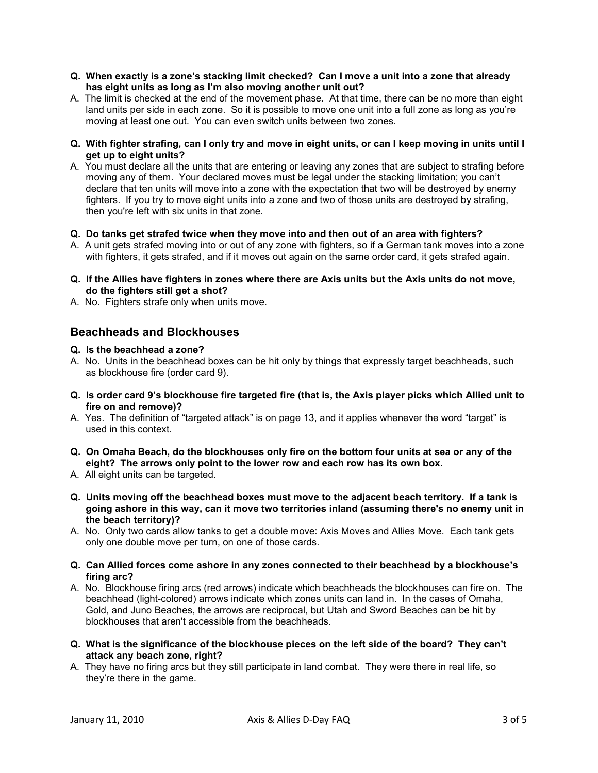- Q. When exactly is a zone's stacking limit checked? Can I move a unit into a zone that already has eight units as long as I'm also moving another unit out?
- A. The limit is checked at the end of the movement phase. At that time, there can be no more than eight land units per side in each zone. So it is possible to move one unit into a full zone as long as you're moving at least one out. You can even switch units between two zones.
- Q. With fighter strafing, can I only try and move in eight units, or can I keep moving in units until I get up to eight units?
- A. You must declare all the units that are entering or leaving any zones that are subject to strafing before moving any of them. Your declared moves must be legal under the stacking limitation; you can't declare that ten units will move into a zone with the expectation that two will be destroyed by enemy fighters. If you try to move eight units into a zone and two of those units are destroyed by strafing, then you're left with six units in that zone.

#### Q. Do tanks get strafed twice when they move into and then out of an area with fighters?

- A. A unit gets strafed moving into or out of any zone with fighters, so if a German tank moves into a zone with fighters, it gets strafed, and if it moves out again on the same order card, it gets strafed again.
- Q. If the Allies have fighters in zones where there are Axis units but the Axis units do not move, do the fighters still get a shot?
- A. No. Fighters strafe only when units move.

## Beachheads and Blockhouses

#### Q. Is the beachhead a zone?

- A. No. Units in the beachhead boxes can be hit only by things that expressly target beachheads, such as blockhouse fire (order card 9).
- Q. Is order card 9's blockhouse fire targeted fire (that is, the Axis player picks which Allied unit to fire on and remove)?
- A. Yes. The definition of "targeted attack" is on page 13, and it applies whenever the word "target" is used in this context.
- Q. On Omaha Beach, do the blockhouses only fire on the bottom four units at sea or any of the eight? The arrows only point to the lower row and each row has its own box.
- A. All eight units can be targeted.
- Q. Units moving off the beachhead boxes must move to the adjacent beach territory. If a tank is going ashore in this way, can it move two territories inland (assuming there's no enemy unit in the beach territory)?
- A. No. Only two cards allow tanks to get a double move: Axis Moves and Allies Move. Each tank gets only one double move per turn, on one of those cards.
- Q. Can Allied forces come ashore in any zones connected to their beachhead by a blockhouse's firing arc?
- A. No. Blockhouse firing arcs (red arrows) indicate which beachheads the blockhouses can fire on. The beachhead (light-colored) arrows indicate which zones units can land in. In the cases of Omaha, Gold, and Juno Beaches, the arrows are reciprocal, but Utah and Sword Beaches can be hit by blockhouses that aren't accessible from the beachheads.
- Q. What is the significance of the blockhouse pieces on the left side of the board? They can't attack any beach zone, right?
- A. They have no firing arcs but they still participate in land combat. They were there in real life, so they're there in the game.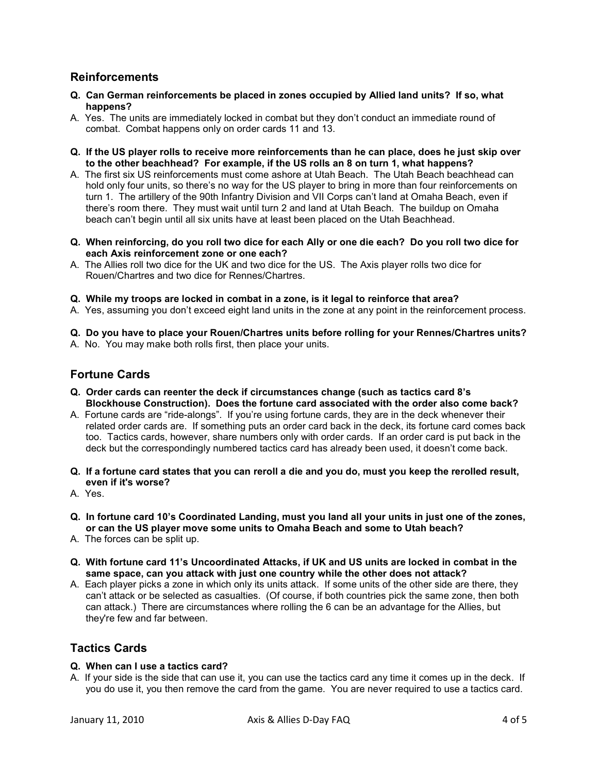# Reinforcements

- Q. Can German reinforcements be placed in zones occupied by Allied land units? If so, what happens?
- A. Yes. The units are immediately locked in combat but they don't conduct an immediate round of combat. Combat happens only on order cards 11 and 13.
- Q. If the US player rolls to receive more reinforcements than he can place, does he just skip over to the other beachhead? For example, if the US rolls an 8 on turn 1, what happens?
- A. The first six US reinforcements must come ashore at Utah Beach. The Utah Beach beachhead can hold only four units, so there's no way for the US player to bring in more than four reinforcements on turn 1. The artillery of the 90th Infantry Division and VII Corps can't land at Omaha Beach, even if there's room there. They must wait until turn 2 and land at Utah Beach. The buildup on Omaha beach can't begin until all six units have at least been placed on the Utah Beachhead.
- Q. When reinforcing, do you roll two dice for each Ally or one die each? Do you roll two dice for each Axis reinforcement zone or one each?
- A. The Allies roll two dice for the UK and two dice for the US. The Axis player rolls two dice for Rouen/Chartres and two dice for Rennes/Chartres.
- Q. While my troops are locked in combat in a zone, is it legal to reinforce that area?
- A. Yes, assuming you don't exceed eight land units in the zone at any point in the reinforcement process.

Q. Do you have to place your Rouen/Chartres units before rolling for your Rennes/Chartres units?

A. No. You may make both rolls first, then place your units.

# Fortune Cards

- Q. Order cards can reenter the deck if circumstances change (such as tactics card 8's Blockhouse Construction). Does the fortune card associated with the order also come back?
- A. Fortune cards are "ride-alongs". If you're using fortune cards, they are in the deck whenever their related order cards are. If something puts an order card back in the deck, its fortune card comes back too. Tactics cards, however, share numbers only with order cards. If an order card is put back in the deck but the correspondingly numbered tactics card has already been used, it doesn't come back.
- Q. If a fortune card states that you can reroll a die and you do, must you keep the rerolled result, even if it's worse?
- A. Yes.
- Q. In fortune card 10's Coordinated Landing, must you land all your units in just one of the zones, or can the US player move some units to Omaha Beach and some to Utah beach?
- A. The forces can be split up.
- Q. With fortune card 11's Uncoordinated Attacks, if UK and US units are locked in combat in the same space, can you attack with just one country while the other does not attack?
- A. Each player picks a zone in which only its units attack. If some units of the other side are there, they can't attack or be selected as casualties. (Of course, if both countries pick the same zone, then both can attack.) There are circumstances where rolling the 6 can be an advantage for the Allies, but they're few and far between.

# Tactics Cards

#### Q. When can I use a tactics card?

A. If your side is the side that can use it, you can use the tactics card any time it comes up in the deck. If you do use it, you then remove the card from the game. You are never required to use a tactics card.